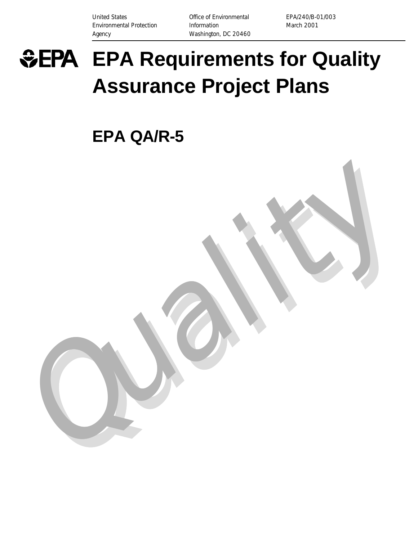United States Office of Environmental EPA/240/B-01/003 Environmental Protection Information March 2001 Agency Washington, DC 20460



# *SEPA* EPA Requirements for Quality **Assurance Project Plans**

Quality Quality Quality

# **EPA QA/R-5**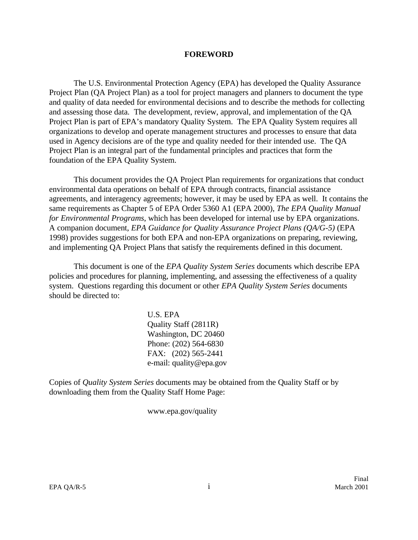#### **FOREWORD**

The U.S. Environmental Protection Agency (EPA) has developed the Quality Assurance Project Plan (QA Project Plan) as a tool for project managers and planners to document the type and quality of data needed for environmental decisions and to describe the methods for collecting and assessing those data. The development, review, approval, and implementation of the QA Project Plan is part of EPA's mandatory Quality System. The EPA Quality System requires all organizations to develop and operate management structures and processes to ensure that data used in Agency decisions are of the type and quality needed for their intended use. The QA Project Plan is an integral part of the fundamental principles and practices that form the foundation of the EPA Quality System.

This document provides the QA Project Plan requirements for organizations that conduct environmental data operations on behalf of EPA through contracts, financial assistance agreements, and interagency agreements; however, it may be used by EPA as well. It contains the same requirements as Chapter 5 of EPA Order 5360 A1 (EPA 2000), *The EPA Quality Manual for Environmental Programs*, which has been developed for internal use by EPA organizations. A companion document, *EPA Guidance for Quality Assurance Project Plans (QA/G-5)* (EPA 1998) provides suggestions for both EPA and non-EPA organizations on preparing, reviewing, and implementing QA Project Plans that satisfy the requirements defined in this document.

This document is one of the *EPA Quality System Series* documents which describe EPA policies and procedures for planning, implementing, and assessing the effectiveness of a quality system. Questions regarding this document or other *EPA Quality System Series* documents should be directed to:

> U.S. EPA Quality Staff (2811R) Washington, DC 20460 Phone: (202) 564-6830 FAX: (202) 565-2441 e-mail: quality@epa.gov

Copies of *Quality System Series* documents may be obtained from the Quality Staff or by downloading them from the Quality Staff Home Page:

www.epa.gov/quality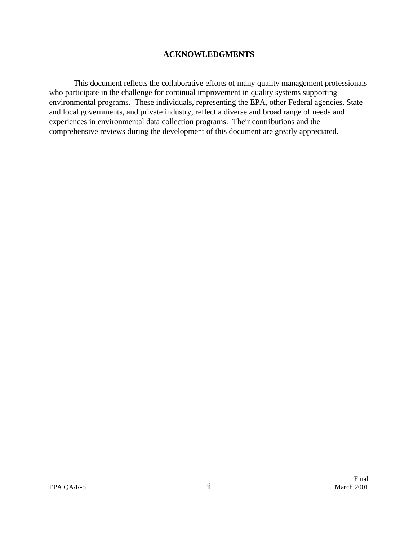#### **ACKNOWLEDGMENTS**

This document reflects the collaborative efforts of many quality management professionals who participate in the challenge for continual improvement in quality systems supporting environmental programs. These individuals, representing the EPA, other Federal agencies, State and local governments, and private industry, reflect a diverse and broad range of needs and experiences in environmental data collection programs. Their contributions and the comprehensive reviews during the development of this document are greatly appreciated.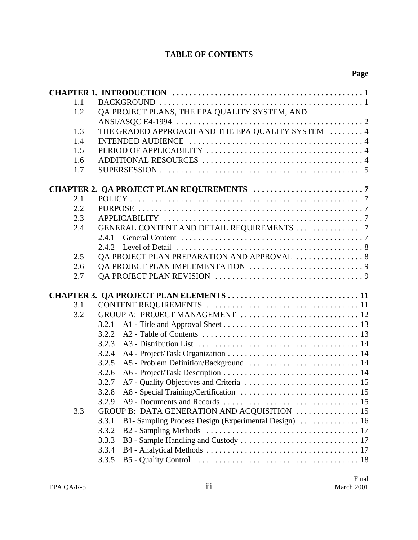# **TABLE OF CONTENTS**

| 1.1 |                                                                |  |  |
|-----|----------------------------------------------------------------|--|--|
| 1.2 | QA PROJECT PLANS, THE EPA QUALITY SYSTEM, AND                  |  |  |
|     |                                                                |  |  |
| 1.3 | THE GRADED APPROACH AND THE EPA QUALITY SYSTEM  4              |  |  |
| 1.4 |                                                                |  |  |
| 1.5 |                                                                |  |  |
| 1.6 |                                                                |  |  |
| 1.7 |                                                                |  |  |
|     |                                                                |  |  |
| 2.1 |                                                                |  |  |
| 2.2 |                                                                |  |  |
| 2.3 |                                                                |  |  |
| 2.4 | GENERAL CONTENT AND DETAIL REQUIREMENTS 7                      |  |  |
|     | 2.4.1                                                          |  |  |
|     |                                                                |  |  |
| 2.5 | QA PROJECT PLAN PREPARATION AND APPROVAL  8                    |  |  |
| 2.6 |                                                                |  |  |
| 2.7 |                                                                |  |  |
|     |                                                                |  |  |
|     |                                                                |  |  |
| 3.1 |                                                                |  |  |
| 3.2 |                                                                |  |  |
|     | 3.2.1                                                          |  |  |
|     | 3.2.2                                                          |  |  |
|     | 3.2.3                                                          |  |  |
|     | 3.2.4                                                          |  |  |
|     | A5 - Problem Definition/Background  14<br>3.2.5                |  |  |
|     | 3.2.6                                                          |  |  |
|     | 3.2.7                                                          |  |  |
|     | 3.2.8                                                          |  |  |
|     | 3.2.9                                                          |  |  |
| 3.3 | GROUP B: DATA GENERATION AND ACQUISITION  15                   |  |  |
|     | B1- Sampling Process Design (Experimental Design)  16<br>3.3.1 |  |  |
|     | 3.3.2                                                          |  |  |
|     | 3.3.3                                                          |  |  |
|     | 3.3.4                                                          |  |  |
|     | 3.3.5                                                          |  |  |
|     |                                                                |  |  |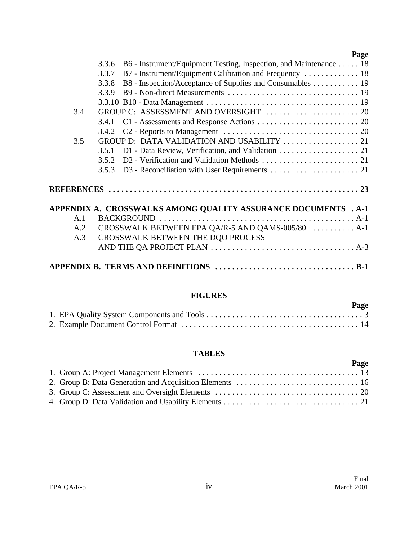# **Page**

|     | 3.3.6 | B6 - Instrument/Equipment Testing, Inspection, and Maintenance  18 |
|-----|-------|--------------------------------------------------------------------|
|     | 3.3.7 |                                                                    |
|     | 3.3.8 | B8 - Inspection/Acceptance of Supplies and Consumables 19          |
|     | 3.3.9 |                                                                    |
|     |       |                                                                    |
| 3.4 |       |                                                                    |
|     |       |                                                                    |
|     |       |                                                                    |
| 3.5 |       | GROUP D: DATA VALIDATION AND USABILITY  21                         |
|     | 3.5.1 |                                                                    |
|     | 3.5.2 |                                                                    |
|     | 3.5.3 |                                                                    |
|     |       |                                                                    |
|     |       | APPENDIX A. CROSSWALKS AMONG QUALITY ASSURANCE DOCUMENTS . A-1     |
| A.1 |       |                                                                    |
| A.2 |       | CROSSWALK BETWEEN EPA QA/R-5 AND QAMS-005/80 4-1                   |
| A.3 |       | CROSSWALK BETWEEN THE DQO PROCESS                                  |
|     |       |                                                                    |
|     |       |                                                                    |

# **FIGURES**

|  | Page |
|--|------|
|  |      |
|  |      |

# **TABLES**

|  | Page |
|--|------|
|  |      |
|  |      |
|  |      |
|  |      |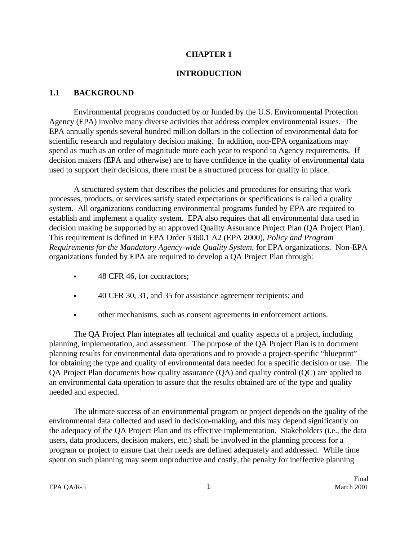#### **CHAPTER 1**

#### **INTRODUCTION**

#### <span id="page-6-0"></span>**1.1 BACKGROUND**

Environmental programs conducted by or funded by the U.S. Environmental Protection Agency (EPA) involve many diverse activities that address complex environmental issues. The EPA annually spends several hundred million dollars in the collection of environmental data for scientific research and regulatory decision making. In addition, non-EPA organizations may spend as much as an order of magnitude more each year to respond to Agency requirements. If decision makers (EPA and otherwise) are to have confidence in the quality of environmental data used to support their decisions, there must be a structured process for quality in place.

A structured system that describes the policies and procedures for ensuring that work processes, products, or services satisfy stated expectations or specifications is called a quality system. All organizations conducting environmental programs funded by EPA are required to establish and implement a quality system. EPA also requires that all environmental data used in decision making be supported by an approved Quality Assurance Project Plan (QA Project Plan). This requirement is defined in EPA Order 5360.1 A2 (EPA 2000), *Policy and Program Requirements for the Mandatory Agency-wide Quality System*, for EPA organizations. Non-EPA organizations funded by EPA are required to develop a QA Project Plan through:

- $\bullet$ 48 CFR 46, for contractors;
- $\bullet$ 40 CFR 30, 31, and 35 for assistance agreement recipients; and
- $\bullet$ other mechanisms, such as consent agreements in enforcement actions.

The QA Project Plan integrates all technical and quality aspects of a project, including planning, implementation, and assessment. The purpose of the QA Project Plan is to document planning results for environmental data operations and to provide a project-specific "blueprint" for obtaining the type and quality of environmental data needed for a specific decision or use. The QA Project Plan documents how quality assurance (QA) and quality control (QC) are applied to an environmental data operation to assure that the results obtained are of the type and quality needed and expected.

The ultimate success of an environmental program or project depends on the quality of the environmental data collected and used in decision-making, and this may depend significantly on the adequacy of the QA Project Plan and its effective implementation. Stakeholders (i.e., the data users, data producers, decision makers, etc.) shall be involved in the planning process for a program or project to ensure that their needs are defined adequately and addressed. While time spent on such planning may seem unproductive and costly, the penalty for ineffective planning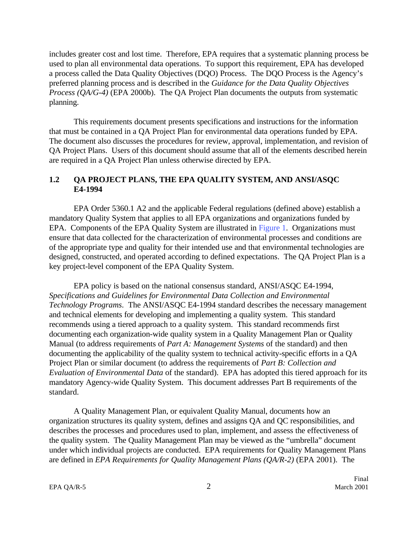<span id="page-7-0"></span>includes greater cost and lost time. Therefore, EPA requires that a systematic planning process be used to plan all environmental data operations. To support this requirement, EPA has developed a process called the Data Quality Objectives (DQO) Process. The DQO Process is the Agency's preferred planning process and is described in the *Guidance for the Data Quality Objectives Process (QA/G-4)* (EPA 2000b). The QA Project Plan documents the outputs from systematic planning.

This requirements document presents specifications and instructions for the information that must be contained in a QA Project Plan for environmental data operations funded by EPA. The document also discusses the procedures for review, approval, implementation, and revision of QA Project Plans. Users of this document should assume that all of the elements described herein are required in a QA Project Plan unless otherwise directed by EPA.

# **1.2 QA PROJECT PLANS, THE EPA QUALITY SYSTEM, AND ANSI/ASQC E4-1994**

EPA Order 5360.1 A2 and the applicable Federal regulations (defined above) establish a mandatory Quality System that applies to all EPA organizations and organizations funded by EPA. Components of the EPA Quality System are illustrated in [Figure 1.](#page-8-0) Organizations must ensure that data collected for the characterization of environmental processes and conditions are of the appropriate type and quality for their intended use and that environmental technologies are designed, constructed, and operated according to defined expectations. The QA Project Plan is a key project-level component of the EPA Quality System.

EPA policy is based on the national consensus standard, ANSI/ASQC E4-1994, *Specifications and Guidelines for Environmental Data Collection and Environmental Technology Programs*. The ANSI/ASQC E4-1994 standard describes the necessary management and technical elements for developing and implementing a quality system. This standard recommends using a tiered approach to a quality system. This standard recommends first documenting each organization-wide quality system in a Quality Management Plan or Quality Manual (to address requirements of *Part A: Management Systems* of the standard) and then documenting the applicability of the quality system to technical activity-specific efforts in a QA Project Plan or similar document (to address the requirements of *Part B: Collection and Evaluation of Environmental Data* of the standard). EPA has adopted this tiered approach for its mandatory Agency-wide Quality System. This document addresses Part B requirements of the standard.

A Quality Management Plan, or equivalent Quality Manual, documents how an organization structures its quality system, defines and assigns QA and QC responsibilities, and describes the processes and procedures used to plan, implement, and assess the effectiveness of the quality system. The Quality Management Plan may be viewed as the "umbrella" document under which individual projects are conducted. EPA requirements for Quality Management Plans are defined in *EPA Requirements for Quality Management Plans (QA/R-2)* (EPA 2001). The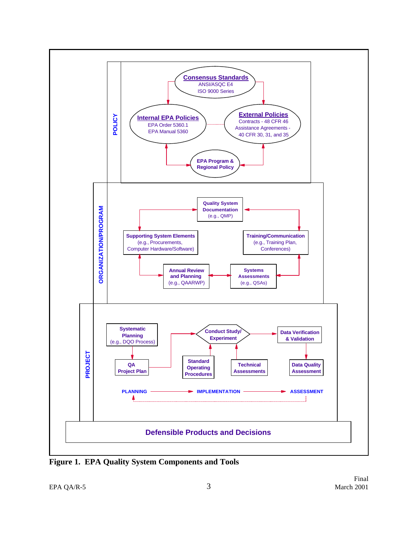<span id="page-8-0"></span>

**Figure 1. EPA Quality System Components and Tools**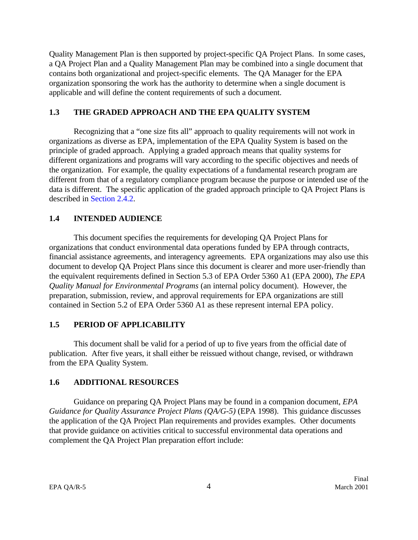<span id="page-9-0"></span>Quality Management Plan is then supported by project-specific QA Project Plans. In some cases, a QA Project Plan and a Quality Management Plan may be combined into a single document that contains both organizational and project-specific elements. The QA Manager for the EPA organization sponsoring the work has the authority to determine when a single document is applicable and will define the content requirements of such a document.

#### **1.3 THE GRADED APPROACH AND THE EPA QUALITY SYSTEM**

Recognizing that a "one size fits all" approach to quality requirements will not work in organizations as diverse as EPA, implementation of the EPA Quality System is based on the principle of graded approach. Applying a graded approach means that quality systems for different organizations and programs will vary according to the specific objectives and needs of the organization. For example, the quality expectations of a fundamental research program are different from that of a regulatory compliance program because the purpose or intended use of the data is different. The specific application of the graded approach principle to QA Project Plans is described in [Section 2.4.2.](#page-13-0)

#### **1.4 INTENDED AUDIENCE**

This document specifies the requirements for developing QA Project Plans for organizations that conduct environmental data operations funded by EPA through contracts, financial assistance agreements, and interagency agreements. EPA organizations may also use this document to develop QA Project Plans since this document is clearer and more user-friendly than the equivalent requirements defined in Section 5.3 of EPA Order 5360 A1 (EPA 2000), *The EPA Quality Manual for Environmental Programs* (an internal policy document). However, the preparation, submission, review, and approval requirements for EPA organizations are still contained in Section 5.2 of EPA Order 5360 A1 as these represent internal EPA policy.

#### **1.5 PERIOD OF APPLICABILITY**

This document shall be valid for a period of up to five years from the official date of publication. After five years, it shall either be reissued without change, revised, or withdrawn from the EPA Quality System.

#### **1.6 ADDITIONAL RESOURCES**

Guidance on preparing QA Project Plans may be found in a companion document, *EPA Guidance for Quality Assurance Project Plans (QA/G-5)* (EPA 1998). This guidance discusses the application of the QA Project Plan requirements and provides examples. Other documents that provide guidance on activities critical to successful environmental data operations and complement the QA Project Plan preparation effort include: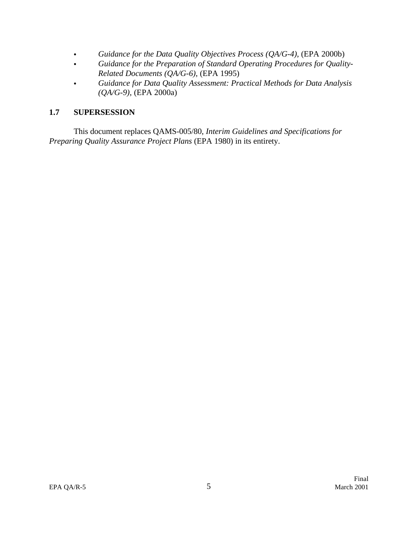- <span id="page-10-0"></span> $\bullet$ *Guidance for the Data Quality Objectives Process (QA/G-4)*, (EPA 2000b)
- $\bullet$ *Guidance for the Preparation of Standard Operating Procedures for Quality-Related Documents (QA/G-6)*, (EPA 1995)
- $\bullet$ *Guidance for Data Quality Assessment: Practical Methods for Data Analysis (QA/G-9)*, (EPA 2000a)

# **1.7 SUPERSESSION**

This document replaces QAMS-005/80, *Interim Guidelines and Specifications for Preparing Quality Assurance Project Plans* (EPA 1980) in its entirety.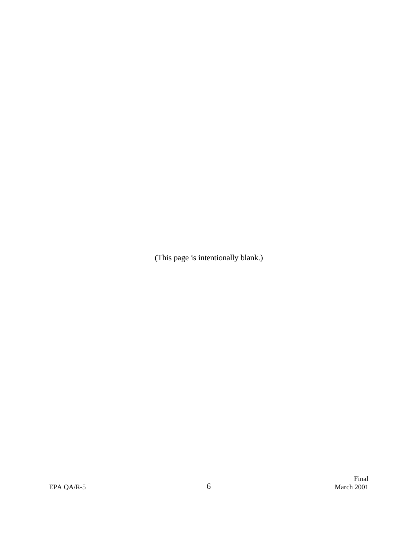(This page is intentionally blank.)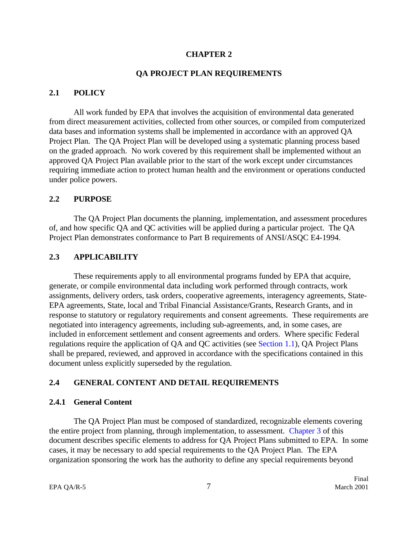#### **CHAPTER 2**

#### **QA PROJECT PLAN REQUIREMENTS**

#### <span id="page-12-0"></span>**2.1 POLICY**

All work funded by EPA that involves the acquisition of environmental data generated from direct measurement activities, collected from other sources, or compiled from computerized data bases and information systems shall be implemented in accordance with an approved QA Project Plan. The QA Project Plan will be developed using a systematic planning process based on the graded approach. No work covered by this requirement shall be implemented without an approved QA Project Plan available prior to the start of the work except under circumstances requiring immediate action to protect human health and the environment or operations conducted under police powers.

#### **2.2 PURPOSE**

The QA Project Plan documents the planning, implementation, and assessment procedures of, and how specific QA and QC activities will be applied during a particular project. The QA Project Plan demonstrates conformance to Part B requirements of ANSI/ASQC E4-1994.

#### **2.3 APPLICABILITY**

These requirements apply to all environmental programs funded by EPA that acquire, generate, or compile environmental data including work performed through contracts, work assignments, delivery orders, task orders, cooperative agreements, interagency agreements, State-EPA agreements, State, local and Tribal Financial Assistance/Grants, Research Grants, and in response to statutory or regulatory requirements and consent agreements. These requirements are negotiated into interagency agreements, including sub-agreements, and, in some cases, are included in enforcement settlement and consent agreements and orders. Where specific Federal regulations require the application of QA and QC activities (see [Section 1.1\)](#page-6-0), QA Project Plans shall be prepared, reviewed, and approved in accordance with the specifications contained in this document unless explicitly superseded by the regulation.

#### **2.4 GENERAL CONTENT AND DETAIL REQUIREMENTS**

#### **2.4.1 General Content**

The QA Project Plan must be composed of standardized, recognizable elements covering the entire project from planning, through implementation, to assessment. [Chapter 3](#page-16-0) of this document describes specific elements to address for QA Project Plans submitted to EPA. In some cases, it may be necessary to add special requirements to the QA Project Plan. The EPA organization sponsoring the work has the authority to define any special requirements beyond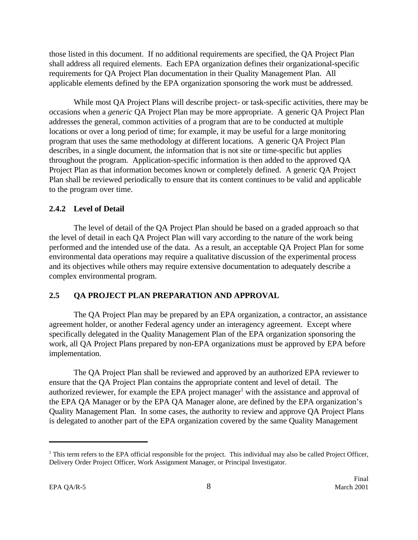<span id="page-13-0"></span>those listed in this document. If no additional requirements are specified, the QA Project Plan shall address all required elements. Each EPA organization defines their organizational-specific requirements for QA Project Plan documentation in their Quality Management Plan. All applicable elements defined by the EPA organization sponsoring the work must be addressed.

While most QA Project Plans will describe project- or task-specific activities, there may be occasions when a *generic* QA Project Plan may be more appropriate. A generic QA Project Plan addresses the general, common activities of a program that are to be conducted at multiple locations or over a long period of time; for example, it may be useful for a large monitoring program that uses the same methodology at different locations. A generic QA Project Plan describes, in a single document, the information that is not site or time-specific but applies throughout the program. Application-specific information is then added to the approved QA Project Plan as that information becomes known or completely defined. A generic QA Project Plan shall be reviewed periodically to ensure that its content continues to be valid and applicable to the program over time.

#### **2.4.2 Level of Detail**

The level of detail of the QA Project Plan should be based on a graded approach so that the level of detail in each QA Project Plan will vary according to the nature of the work being performed and the intended use of the data. As a result, an acceptable QA Project Plan for some environmental data operations may require a qualitative discussion of the experimental process and its objectives while others may require extensive documentation to adequately describe a complex environmental program.

#### **2.5 QA PROJECT PLAN PREPARATION AND APPROVAL**

The QA Project Plan may be prepared by an EPA organization, a contractor, an assistance agreement holder, or another Federal agency under an interagency agreement. Except where specifically delegated in the Quality Management Plan of the EPA organization sponsoring the work, all QA Project Plans prepared by non-EPA organizations must be approved by EPA before implementation.

The QA Project Plan shall be reviewed and approved by an authorized EPA reviewer to ensure that the QA Project Plan contains the appropriate content and level of detail. The authorized reviewer, for example the EPA project manager<sup>1</sup> with the assistance and approval of the EPA QA Manager or by the EPA QA Manager alone, are defined by the EPA organization's Quality Management Plan. In some cases, the authority to review and approve QA Project Plans is delegated to another part of the EPA organization covered by the same Quality Management

<sup>&</sup>lt;sup>1</sup> This term refers to the EPA official responsible for the project. This individual may also be called Project Officer, Delivery Order Project Officer, Work Assignment Manager, or Principal Investigator.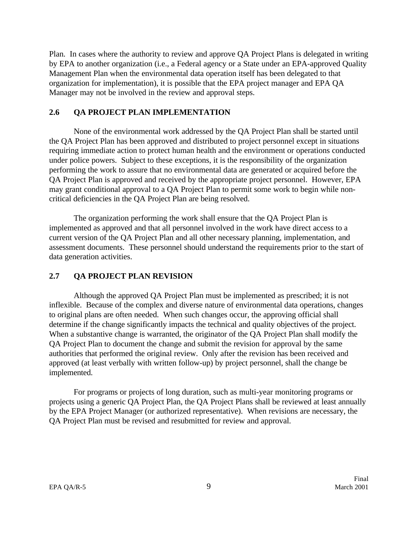<span id="page-14-0"></span>Plan. In cases where the authority to review and approve QA Project Plans is delegated in writing by EPA to another organization (i.e., a Federal agency or a State under an EPA-approved Quality Management Plan when the environmental data operation itself has been delegated to that organization for implementation), it is possible that the EPA project manager and EPA QA Manager may not be involved in the review and approval steps.

# **2.6 QA PROJECT PLAN IMPLEMENTATION**

None of the environmental work addressed by the QA Project Plan shall be started until the QA Project Plan has been approved and distributed to project personnel except in situations requiring immediate action to protect human health and the environment or operations conducted under police powers. Subject to these exceptions, it is the responsibility of the organization performing the work to assure that no environmental data are generated or acquired before the QA Project Plan is approved and received by the appropriate project personnel. However, EPA may grant conditional approval to a QA Project Plan to permit some work to begin while noncritical deficiencies in the QA Project Plan are being resolved.

The organization performing the work shall ensure that the QA Project Plan is implemented as approved and that all personnel involved in the work have direct access to a current version of the QA Project Plan and all other necessary planning, implementation, and assessment documents. These personnel should understand the requirements prior to the start of data generation activities.

# **2.7 QA PROJECT PLAN REVISION**

Although the approved QA Project Plan must be implemented as prescribed; it is not inflexible. Because of the complex and diverse nature of environmental data operations, changes to original plans are often needed. When such changes occur, the approving official shall determine if the change significantly impacts the technical and quality objectives of the project. When a substantive change is warranted, the originator of the QA Project Plan shall modify the QA Project Plan to document the change and submit the revision for approval by the same authorities that performed the original review. Only after the revision has been received and approved (at least verbally with written follow-up) by project personnel, shall the change be implemented.

For programs or projects of long duration, such as multi-year monitoring programs or projects using a generic QA Project Plan, the QA Project Plans shall be reviewed at least annually by the EPA Project Manager (or authorized representative). When revisions are necessary, the QA Project Plan must be revised and resubmitted for review and approval.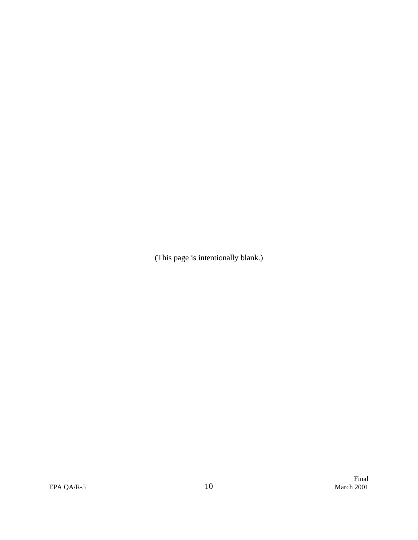(This page is intentionally blank.)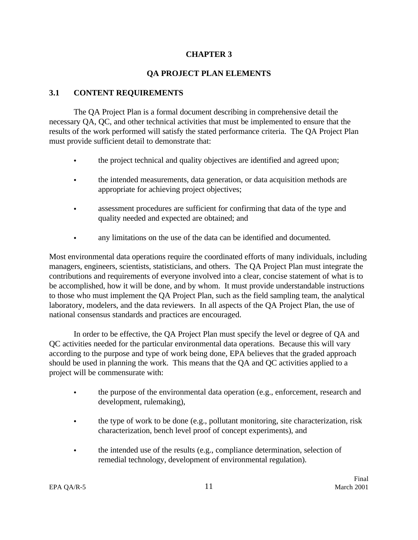# **CHAPTER 3**

# **QA PROJECT PLAN ELEMENTS**

#### <span id="page-16-0"></span>**3.1 CONTENT REQUIREMENTS**

The QA Project Plan is a formal document describing in comprehensive detail the necessary QA, QC, and other technical activities that must be implemented to ensure that the results of the work performed will satisfy the stated performance criteria. The QA Project Plan must provide sufficient detail to demonstrate that:

- the project technical and quality objectives are identified and agreed upon;
- C the intended measurements, data generation, or data acquisition methods are appropriate for achieving project objectives;
- assessment procedures are sufficient for confirming that data of the type and quality needed and expected are obtained; and
- any limitations on the use of the data can be identified and documented.

Most environmental data operations require the coordinated efforts of many individuals, including managers, engineers, scientists, statisticians, and others. The QA Project Plan must integrate the contributions and requirements of everyone involved into a clear, concise statement of what is to be accomplished, how it will be done, and by whom. It must provide understandable instructions to those who must implement the QA Project Plan, such as the field sampling team, the analytical laboratory, modelers, and the data reviewers. In all aspects of the QA Project Plan, the use of national consensus standards and practices are encouraged.

In order to be effective, the QA Project Plan must specify the level or degree of QA and QC activities needed for the particular environmental data operations. Because this will vary according to the purpose and type of work being done, EPA believes that the graded approach should be used in planning the work. This means that the QA and QC activities applied to a project will be commensurate with:

- $\bullet$ the purpose of the environmental data operation (e.g., enforcement, research and development, rulemaking),
- $\bullet$ the type of work to be done (e.g., pollutant monitoring, site characterization, risk characterization, bench level proof of concept experiments), and
- $\bullet$ the intended use of the results (e.g., compliance determination, selection of remedial technology, development of environmental regulation).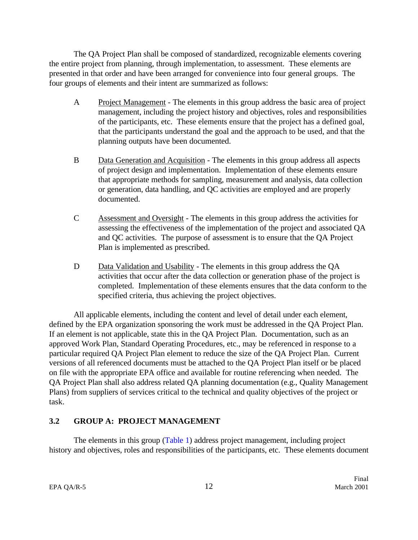<span id="page-17-0"></span>The QA Project Plan shall be composed of standardized, recognizable elements covering the entire project from planning, through implementation, to assessment. These elements are presented in that order and have been arranged for convenience into four general groups. The four groups of elements and their intent are summarized as follows:

- A Project Management The elements in this group address the basic area of project management, including the project history and objectives, roles and responsibilities of the participants, etc. These elements ensure that the project has a defined goal, that the participants understand the goal and the approach to be used, and that the planning outputs have been documented.
- B Data Generation and Acquisition The elements in this group address all aspects of project design and implementation. Implementation of these elements ensure that appropriate methods for sampling, measurement and analysis, data collection or generation, data handling, and QC activities are employed and are properly documented.
- C Assessment and Oversight The elements in this group address the activities for assessing the effectiveness of the implementation of the project and associated QA and QC activities. The purpose of assessment is to ensure that the QA Project Plan is implemented as prescribed.
- D Data Validation and Usability The elements in this group address the QA activities that occur after the data collection or generation phase of the project is completed. Implementation of these elements ensures that the data conform to the specified criteria, thus achieving the project objectives.

All applicable elements, including the content and level of detail under each element, defined by the EPA organization sponsoring the work must be addressed in the QA Project Plan. If an element is not applicable, state this in the QA Project Plan. Documentation, such as an approved Work Plan, Standard Operating Procedures, etc., may be referenced in response to a particular required QA Project Plan element to reduce the size of the QA Project Plan. Current versions of all referenced documents must be attached to the QA Project Plan itself or be placed on file with the appropriate EPA office and available for routine referencing when needed. The QA Project Plan shall also address related QA planning documentation (e.g., Quality Management Plans) from suppliers of services critical to the technical and quality objectives of the project or task.

#### **3.2 GROUP A: PROJECT MANAGEMENT**

The elements in this group [\(Table 1\)](#page-18-0) address project management, including project history and objectives, roles and responsibilities of the participants, etc. These elements document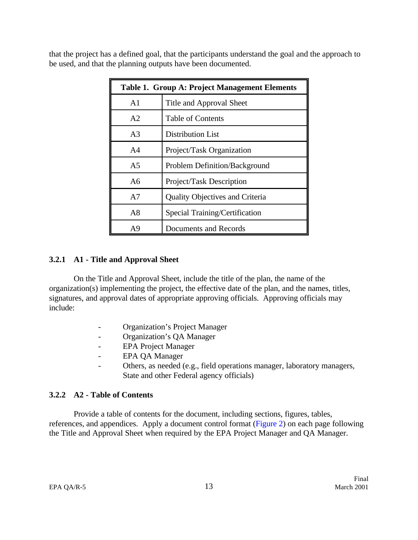<span id="page-18-0"></span>

| that the project has a defined goal, that the participants understand the goal and the approach to |
|----------------------------------------------------------------------------------------------------|
| be used, and that the planning outputs have been documented.                                       |

| <b>Table 1. Group A: Project Management Elements</b> |                                        |  |  |
|------------------------------------------------------|----------------------------------------|--|--|
| A <sub>1</sub>                                       | Title and Approval Sheet               |  |  |
| A <sub>2</sub>                                       | <b>Table of Contents</b>               |  |  |
| A <sub>3</sub>                                       | <b>Distribution List</b>               |  |  |
| AA                                                   | Project/Task Organization              |  |  |
| A <sub>5</sub>                                       | Problem Definition/Background          |  |  |
| A6                                                   | Project/Task Description               |  |  |
| A7                                                   | <b>Quality Objectives and Criteria</b> |  |  |
| A8                                                   | Special Training/Certification         |  |  |
| Documents and Records<br>A9                          |                                        |  |  |

# **3.2.1 A1 - Title and Approval Sheet**

On the Title and Approval Sheet, include the title of the plan, the name of the organization(s) implementing the project, the effective date of the plan, and the names, titles, signatures, and approval dates of appropriate approving officials. Approving officials may include:

- Organization's Project Manager
- Organization's QA Manager
- EPA Project Manager
- EPA QA Manager
- Others, as needed (e.g., field operations manager, laboratory managers, State and other Federal agency officials)

# **3.2.2 A2 - Table of Contents**

Provide a table of contents for the document, including sections, figures, tables, references, and appendices. Apply a document control format [\(Figure 2\)](#page-19-0) on each page following the Title and Approval Sheet when required by the EPA Project Manager and QA Manager.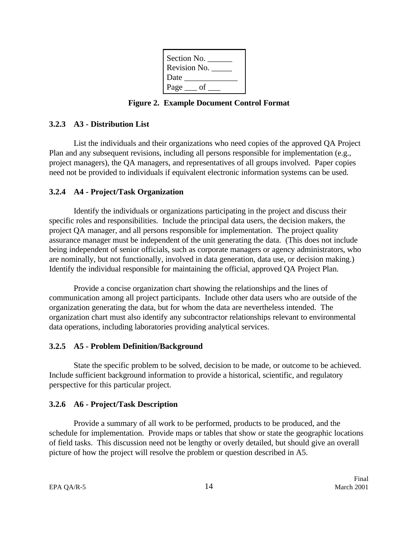

**Figure 2. Example Document Control Format** 

#### <span id="page-19-0"></span>**3.2.3 A3 - Distribution List**

List the individuals and their organizations who need copies of the approved QA Project Plan and any subsequent revisions, including all persons responsible for implementation (e.g., project managers), the QA managers, and representatives of all groups involved. Paper copies need not be provided to individuals if equivalent electronic information systems can be used.

#### **3.2.4 A4 - Project/Task Organization**

Identify the individuals or organizations participating in the project and discuss their specific roles and responsibilities. Include the principal data users, the decision makers, the project QA manager, and all persons responsible for implementation. The project quality assurance manager must be independent of the unit generating the data. (This does not include being independent of senior officials, such as corporate managers or agency administrators, who are nominally, but not functionally, involved in data generation, data use, or decision making.) Identify the individual responsible for maintaining the official, approved QA Project Plan.

Provide a concise organization chart showing the relationships and the lines of communication among all project participants. Include other data users who are outside of the organization generating the data, but for whom the data are nevertheless intended. The organization chart must also identify any subcontractor relationships relevant to environmental data operations, including laboratories providing analytical services.

#### **3.2.5 A5 - Problem Definition/Background**

State the specific problem to be solved, decision to be made, or outcome to be achieved. Include sufficient background information to provide a historical, scientific, and regulatory perspective for this particular project.

#### **3.2.6 A6 - Project/Task Description**

Provide a summary of all work to be performed, products to be produced, and the schedule for implementation. Provide maps or tables that show or state the geographic locations of field tasks. This discussion need not be lengthy or overly detailed, but should give an overall picture of how the project will resolve the problem or question described in A5.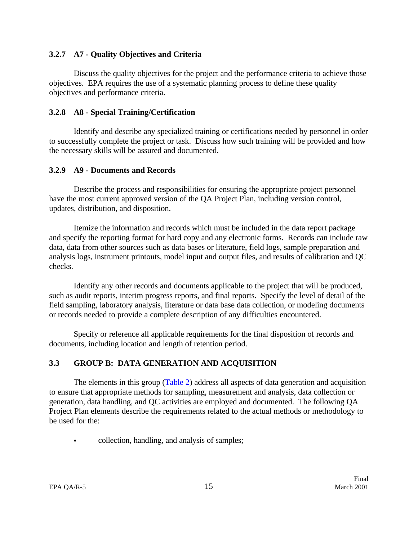# <span id="page-20-0"></span>**3.2.7 A7 - Quality Objectives and Criteria**

Discuss the quality objectives for the project and the performance criteria to achieve those objectives. EPA requires the use of a systematic planning process to define these quality objectives and performance criteria.

#### **3.2.8 A8 - Special Training/Certification**

Identify and describe any specialized training or certifications needed by personnel in order to successfully complete the project or task. Discuss how such training will be provided and how the necessary skills will be assured and documented.

#### **3.2.9 A9 - Documents and Records**

Describe the process and responsibilities for ensuring the appropriate project personnel have the most current approved version of the QA Project Plan, including version control, updates, distribution, and disposition.

Itemize the information and records which must be included in the data report package and specify the reporting format for hard copy and any electronic forms. Records can include raw data, data from other sources such as data bases or literature, field logs, sample preparation and analysis logs, instrument printouts, model input and output files, and results of calibration and QC checks.

Identify any other records and documents applicable to the project that will be produced, such as audit reports, interim progress reports, and final reports. Specify the level of detail of the field sampling, laboratory analysis, literature or data base data collection, or modeling documents or records needed to provide a complete description of any difficulties encountered.

Specify or reference all applicable requirements for the final disposition of records and documents, including location and length of retention period.

# **3.3 GROUP B: DATA GENERATION AND ACQUISITION**

The elements in this group ([Table 2\)](#page-21-0) address all aspects of data generation and acquisition to ensure that appropriate methods for sampling, measurement and analysis, data collection or generation, data handling, and QC activities are employed and documented. The following QA Project Plan elements describe the requirements related to the actual methods or methodology to be used for the:

• collection, handling, and analysis of samples;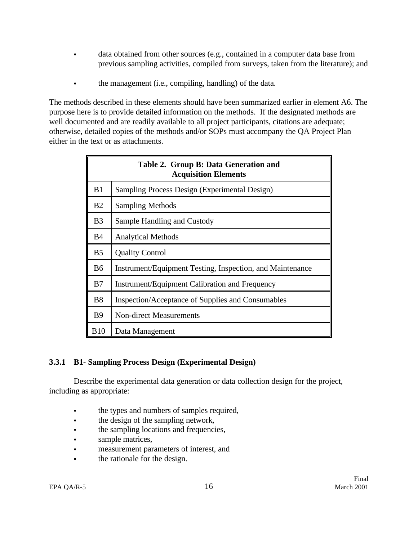- <span id="page-21-0"></span>• data obtained from other sources (e.g., contained in a computer data base from previous sampling activities, compiled from surveys, taken from the literature); and
- the management (i.e., compiling, handling) of the data.

The methods described in these elements should have been summarized earlier in element A6. The purpose here is to provide detailed information on the methods. If the designated methods are well documented and are readily available to all project participants, citations are adequate; otherwise, detailed copies of the methods and/or SOPs must accompany the QA Project Plan either in the text or as attachments.

| Table 2. Group B: Data Generation and<br><b>Acquisition Elements</b> |                                                           |  |  |  |
|----------------------------------------------------------------------|-----------------------------------------------------------|--|--|--|
| B1                                                                   | Sampling Process Design (Experimental Design)             |  |  |  |
| B <sub>2</sub>                                                       | <b>Sampling Methods</b>                                   |  |  |  |
| B <sub>3</sub>                                                       | Sample Handling and Custody                               |  |  |  |
| <b>B4</b>                                                            | <b>Analytical Methods</b>                                 |  |  |  |
| B <sub>5</sub>                                                       | <b>Quality Control</b>                                    |  |  |  |
| <b>B6</b>                                                            | Instrument/Equipment Testing, Inspection, and Maintenance |  |  |  |
| B7                                                                   | Instrument/Equipment Calibration and Frequency            |  |  |  |
| <b>B8</b>                                                            | Inspection/Acceptance of Supplies and Consumables         |  |  |  |
| <b>B9</b>                                                            | <b>Non-direct Measurements</b>                            |  |  |  |
| <b>B10</b>                                                           | Data Management                                           |  |  |  |

# **3.3.1 B1- Sampling Process Design (Experimental Design)**

Describe the experimental data generation or data collection design for the project, including as appropriate:

- the types and numbers of samples required,
- the design of the sampling network,
- $\cdot$  the sampling locations and frequencies,
- sample matrices,
- measurement parameters of interest, and
- the rationale for the design.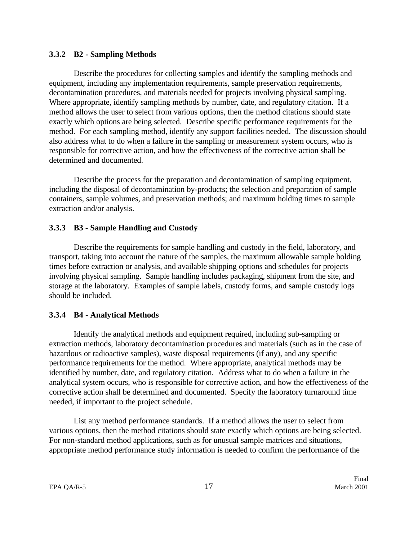#### <span id="page-22-0"></span>**3.3.2 B2 - Sampling Methods**

Describe the procedures for collecting samples and identify the sampling methods and equipment, including any implementation requirements, sample preservation requirements, decontamination procedures, and materials needed for projects involving physical sampling. Where appropriate, identify sampling methods by number, date, and regulatory citation. If a method allows the user to select from various options, then the method citations should state exactly which options are being selected. Describe specific performance requirements for the method. For each sampling method, identify any support facilities needed. The discussion should also address what to do when a failure in the sampling or measurement system occurs, who is responsible for corrective action, and how the effectiveness of the corrective action shall be determined and documented.

Describe the process for the preparation and decontamination of sampling equipment, including the disposal of decontamination by-products; the selection and preparation of sample containers, sample volumes, and preservation methods; and maximum holding times to sample extraction and/or analysis.

#### **3.3.3 B3 - Sample Handling and Custody**

Describe the requirements for sample handling and custody in the field, laboratory, and transport, taking into account the nature of the samples, the maximum allowable sample holding times before extraction or analysis, and available shipping options and schedules for projects involving physical sampling. Sample handling includes packaging, shipment from the site, and storage at the laboratory. Examples of sample labels, custody forms, and sample custody logs should be included.

#### **3.3.4 B4 - Analytical Methods**

Identify the analytical methods and equipment required, including sub-sampling or extraction methods, laboratory decontamination procedures and materials (such as in the case of hazardous or radioactive samples), waste disposal requirements (if any), and any specific performance requirements for the method. Where appropriate, analytical methods may be identified by number, date, and regulatory citation. Address what to do when a failure in the analytical system occurs, who is responsible for corrective action, and how the effectiveness of the corrective action shall be determined and documented. Specify the laboratory turnaround time needed, if important to the project schedule.

List any method performance standards. If a method allows the user to select from various options, then the method citations should state exactly which options are being selected. For non-standard method applications, such as for unusual sample matrices and situations, appropriate method performance study information is needed to confirm the performance of the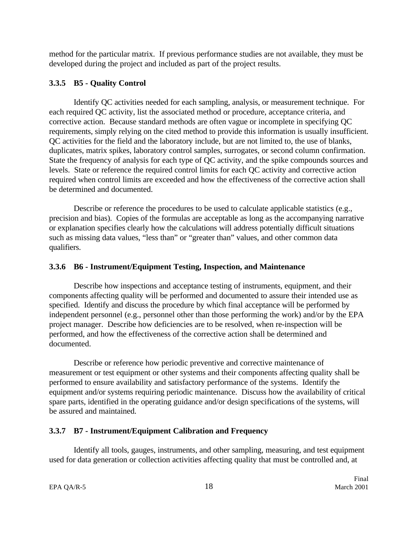<span id="page-23-0"></span>method for the particular matrix. If previous performance studies are not available, they must be developed during the project and included as part of the project results.

#### **3.3.5 B5 - Quality Control**

Identify QC activities needed for each sampling, analysis, or measurement technique. For each required QC activity, list the associated method or procedure, acceptance criteria, and corrective action. Because standard methods are often vague or incomplete in specifying QC requirements, simply relying on the cited method to provide this information is usually insufficient. QC activities for the field and the laboratory include, but are not limited to, the use of blanks, duplicates, matrix spikes, laboratory control samples, surrogates, or second column confirmation. State the frequency of analysis for each type of QC activity, and the spike compounds sources and levels. State or reference the required control limits for each QC activity and corrective action required when control limits are exceeded and how the effectiveness of the corrective action shall be determined and documented.

Describe or reference the procedures to be used to calculate applicable statistics (e.g., precision and bias). Copies of the formulas are acceptable as long as the accompanying narrative or explanation specifies clearly how the calculations will address potentially difficult situations such as missing data values, "less than" or "greater than" values, and other common data qualifiers.

#### **3.3.6 B6 - Instrument/Equipment Testing, Inspection, and Maintenance**

Describe how inspections and acceptance testing of instruments, equipment, and their components affecting quality will be performed and documented to assure their intended use as specified. Identify and discuss the procedure by which final acceptance will be performed by independent personnel (e.g., personnel other than those performing the work) and/or by the EPA project manager. Describe how deficiencies are to be resolved, when re-inspection will be performed, and how the effectiveness of the corrective action shall be determined and documented.

Describe or reference how periodic preventive and corrective maintenance of measurement or test equipment or other systems and their components affecting quality shall be performed to ensure availability and satisfactory performance of the systems. Identify the equipment and/or systems requiring periodic maintenance. Discuss how the availability of critical spare parts, identified in the operating guidance and/or design specifications of the systems, will be assured and maintained.

#### **3.3.7 B7 - Instrument/Equipment Calibration and Frequency**

Identify all tools, gauges, instruments, and other sampling, measuring, and test equipment used for data generation or collection activities affecting quality that must be controlled and, at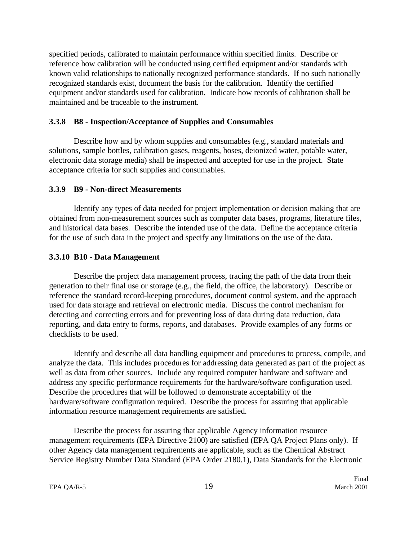<span id="page-24-0"></span>specified periods, calibrated to maintain performance within specified limits. Describe or reference how calibration will be conducted using certified equipment and/or standards with known valid relationships to nationally recognized performance standards. If no such nationally recognized standards exist, document the basis for the calibration. Identify the certified equipment and/or standards used for calibration. Indicate how records of calibration shall be maintained and be traceable to the instrument.

#### **3.3.8 B8 - Inspection/Acceptance of Supplies and Consumables**

Describe how and by whom supplies and consumables (e.g., standard materials and solutions, sample bottles, calibration gases, reagents, hoses, deionized water, potable water, electronic data storage media) shall be inspected and accepted for use in the project. State acceptance criteria for such supplies and consumables.

#### **3.3.9 B9 - Non-direct Measurements**

Identify any types of data needed for project implementation or decision making that are obtained from non-measurement sources such as computer data bases, programs, literature files, and historical data bases. Describe the intended use of the data. Define the acceptance criteria for the use of such data in the project and specify any limitations on the use of the data.

#### **3.3.10 B10 - Data Management**

Describe the project data management process, tracing the path of the data from their generation to their final use or storage (e.g., the field, the office, the laboratory). Describe or reference the standard record-keeping procedures, document control system, and the approach used for data storage and retrieval on electronic media. Discuss the control mechanism for detecting and correcting errors and for preventing loss of data during data reduction, data reporting, and data entry to forms, reports, and databases. Provide examples of any forms or checklists to be used.

Identify and describe all data handling equipment and procedures to process, compile, and analyze the data. This includes procedures for addressing data generated as part of the project as well as data from other sources. Include any required computer hardware and software and address any specific performance requirements for the hardware/software configuration used. Describe the procedures that will be followed to demonstrate acceptability of the hardware/software configuration required. Describe the process for assuring that applicable information resource management requirements are satisfied.

Describe the process for assuring that applicable Agency information resource management requirements (EPA Directive 2100) are satisfied (EPA QA Project Plans only). If other Agency data management requirements are applicable, such as the Chemical Abstract Service Registry Number Data Standard (EPA Order 2180.1), Data Standards for the Electronic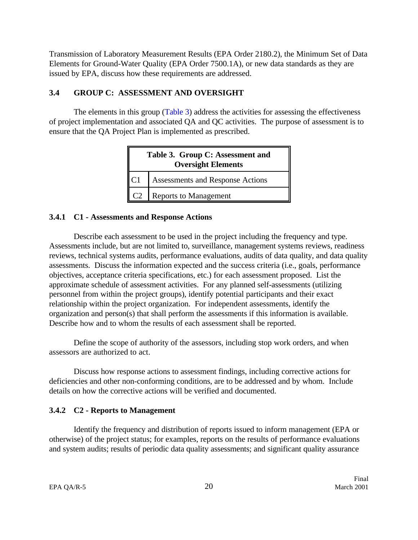<span id="page-25-0"></span>Transmission of Laboratory Measurement Results (EPA Order 2180.2), the Minimum Set of Data Elements for Ground-Water Quality (EPA Order 7500.1A), or new data standards as they are issued by EPA, discuss how these requirements are addressed.

# **3.4 GROUP C: ASSESSMENT AND OVERSIGHT**

The elements in this group (Table 3) address the activities for assessing the effectiveness of project implementation and associated QA and QC activities. The purpose of assessment is to ensure that the QA Project Plan is implemented as prescribed.

| Table 3. Group C: Assessment and<br><b>Oversight Elements</b> |                                  |  |
|---------------------------------------------------------------|----------------------------------|--|
|                                                               | Assessments and Response Actions |  |
|                                                               | <b>Reports to Management</b>     |  |

#### **3.4.1 C1 - Assessments and Response Actions**

Describe each assessment to be used in the project including the frequency and type. Assessments include, but are not limited to, surveillance, management systems reviews, readiness reviews, technical systems audits, performance evaluations, audits of data quality, and data quality assessments. Discuss the information expected and the success criteria (i.e., goals, performance objectives, acceptance criteria specifications, etc.) for each assessment proposed. List the approximate schedule of assessment activities. For any planned self-assessments (utilizing personnel from within the project groups), identify potential participants and their exact relationship within the project organization. For independent assessments, identify the organization and person(s) that shall perform the assessments if this information is available. Describe how and to whom the results of each assessment shall be reported.

Define the scope of authority of the assessors, including stop work orders, and when assessors are authorized to act.

Discuss how response actions to assessment findings, including corrective actions for deficiencies and other non-conforming conditions, are to be addressed and by whom. Include details on how the corrective actions will be verified and documented.

# **3.4.2 C2 - Reports to Management**

Identify the frequency and distribution of reports issued to inform management (EPA or otherwise) of the project status; for examples, reports on the results of performance evaluations and system audits; results of periodic data quality assessments; and significant quality assurance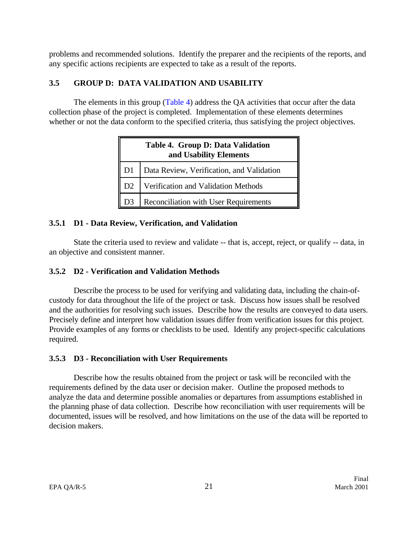<span id="page-26-0"></span>problems and recommended solutions. Identify the preparer and the recipients of the reports, and any specific actions recipients are expected to take as a result of the reports.

# **3.5 GROUP D: DATA VALIDATION AND USABILITY**

The elements in this group (Table 4) address the QA activities that occur after the data collection phase of the project is completed. Implementation of these elements determines whether or not the data conform to the specified criteria, thus satisfying the project objectives.

| Table 4. Group D: Data Validation<br>and Usability Elements |                                              |  |
|-------------------------------------------------------------|----------------------------------------------|--|
| D <sub>1</sub>                                              | Data Review, Verification, and Validation    |  |
| D2                                                          | Verification and Validation Methods          |  |
|                                                             | <b>Reconciliation with User Requirements</b> |  |

# **3.5.1 D1 - Data Review, Verification, and Validation**

State the criteria used to review and validate -- that is, accept, reject, or qualify -- data, in an objective and consistent manner.

# **3.5.2 D2 - Verification and Validation Methods**

Describe the process to be used for verifying and validating data, including the chain-ofcustody for data throughout the life of the project or task. Discuss how issues shall be resolved and the authorities for resolving such issues. Describe how the results are conveyed to data users. Precisely define and interpret how validation issues differ from verification issues for this project. Provide examples of any forms or checklists to be used. Identify any project-specific calculations required.

# **3.5.3 D3 - Reconciliation with User Requirements**

Describe how the results obtained from the project or task will be reconciled with the requirements defined by the data user or decision maker. Outline the proposed methods to analyze the data and determine possible anomalies or departures from assumptions established in the planning phase of data collection. Describe how reconciliation with user requirements will be documented, issues will be resolved, and how limitations on the use of the data will be reported to decision makers.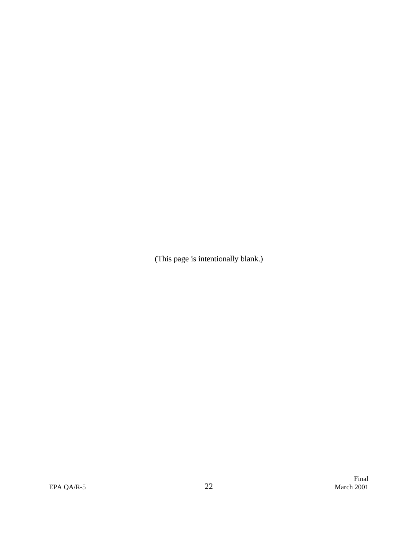(This page is intentionally blank.)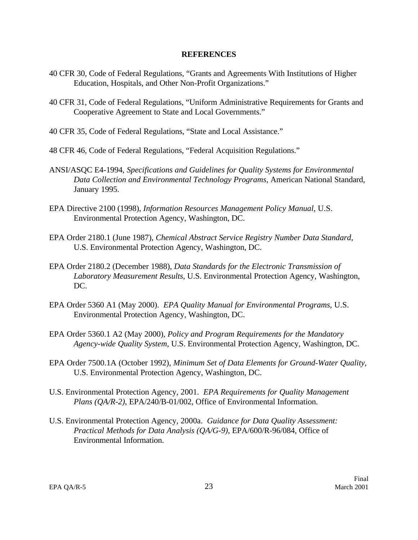#### **REFERENCES**

- <span id="page-28-0"></span>40 CFR 30, Code of Federal Regulations, "Grants and Agreements With Institutions of Higher Education, Hospitals, and Other Non-Profit Organizations."
- 40 CFR 31, Code of Federal Regulations, "Uniform Administrative Requirements for Grants and Cooperative Agreement to State and Local Governments."
- 40 CFR 35, Code of Federal Regulations, "State and Local Assistance."
- 48 CFR 46, Code of Federal Regulations, "Federal Acquisition Regulations."
- ANSI/ASQC E4-1994, *Specifications and Guidelines for Quality Systems for Environmental Data Collection and Environmental Technology Programs*, American National Standard, January 1995.
- EPA Directive 2100 (1998), *Information Resources Management Policy Manual*, U.S. Environmental Protection Agency, Washington, DC.
- EPA Order 2180.1 (June 1987), *Chemical Abstract Service Registry Number Data Standard*, U.S. Environmental Protection Agency, Washington, DC.
- EPA Order 2180.2 (December 1988), *Data Standards for the Electronic Transmission of Laboratory Measurement Results*, U.S. Environmental Protection Agency, Washington, DC.
- EPA Order 5360 A1 (May 2000). *EPA Quality Manual for Environmental Programs*, U.S. Environmental Protection Agency, Washington, DC.
- EPA Order 5360.1 A2 (May 2000), *Policy and Program Requirements for the Mandatory Agency-wide Quality System*, U.S. Environmental Protection Agency, Washington, DC.
- EPA Order 7500.1A (October 1992), *Minimum Set of Data Elements for Ground-Water Quality*, U.S. Environmental Protection Agency, Washington, DC.
- U.S. Environmental Protection Agency*,* 2001. *EPA Requirements for Quality Management Plans (QA/R-2)*, EPA/240/B-01/002, Office of Environmental Information.
- U.S. Environmental Protection Agency*,* 2000a. *Guidance for Data Quality Assessment: Practical Methods for Data Analysis (QA/G-9)*, EPA/600/R-96/084, Office of Environmental Information.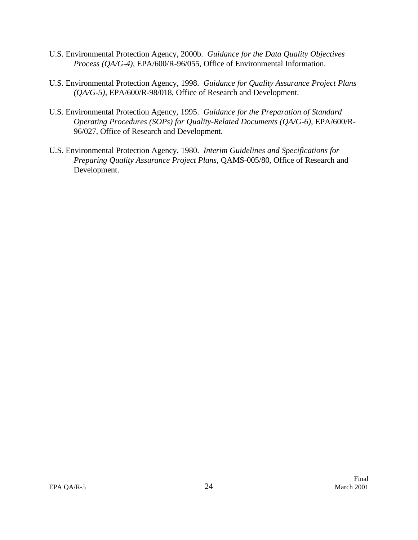- U.S. Environmental Protection Agency, 2000b. *Guidance for the Data Quality Objectives Process (QA/G-4)*, EPA/600/R-96/055, Office of Environmental Information.
- U.S. Environmental Protection Agency, 1998. *Guidance for Quality Assurance Project Plans (QA/G-5)*, EPA/600/R-98/018, Office of Research and Development.
- U.S. Environmental Protection Agency*,* 1995. *Guidance for the Preparation of Standard Operating Procedures (SOPs) for Quality-Related Documents (QA/G-6)*, EPA/600/R-96/027, Office of Research and Development.
- U.S. Environmental Protection Agency, 1980. *Interim Guidelines and Specifications for Preparing Quality Assurance Project Plans,* QAMS-005/80, Office of Research and Development.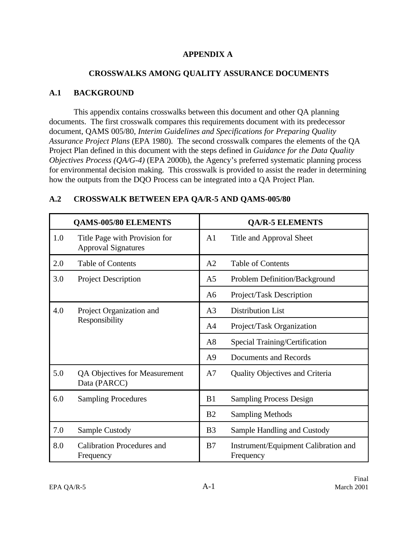#### **APPENDIX A**

# **CROSSWALKS AMONG QUALITY ASSURANCE DOCUMENTS**

#### <span id="page-30-0"></span>**A.1 BACKGROUND**

This appendix contains crosswalks between this document and other QA planning documents. The first crosswalk compares this requirements document with its predecessor document, QAMS 005/80, *Interim Guidelines and Specifications for Preparing Quality Assurance Project Plans* (EPA 1980). The second crosswalk compares the elements of the QA Project Plan defined in this document with the steps defined in *Guidance for the Data Quality Objectives Process (QA/G-4)* (EPA 2000b), the Agency's preferred systematic planning process for environmental decision making. This crosswalk is provided to assist the reader in determining how the outputs from the DQO Process can be integrated into a QA Project Plan.

|     | <b>QAMS-005/80 ELEMENTS</b>                                 | <b>QA/R-5 ELEMENTS</b> |                                                   |
|-----|-------------------------------------------------------------|------------------------|---------------------------------------------------|
| 1.0 | Title Page with Provision for<br><b>Approval Signatures</b> | A1                     | Title and Approval Sheet                          |
| 2.0 | Table of Contents                                           | A2                     | <b>Table of Contents</b>                          |
| 3.0 | <b>Project Description</b>                                  | A <sub>5</sub>         | Problem Definition/Background                     |
|     |                                                             | A <sub>6</sub>         | Project/Task Description                          |
| 4.0 | Project Organization and<br>Responsibility                  | A <sub>3</sub>         | <b>Distribution List</b>                          |
|     |                                                             | A4                     | Project/Task Organization                         |
|     |                                                             | A8                     | Special Training/Certification                    |
|     |                                                             | A <sub>9</sub>         | Documents and Records                             |
| 5.0 | QA Objectives for Measurement<br>Data (PARCC)               | A7                     | <b>Quality Objectives and Criteria</b>            |
| 6.0 | <b>Sampling Procedures</b>                                  | B1                     | <b>Sampling Process Design</b>                    |
|     |                                                             | B <sub>2</sub>         | <b>Sampling Methods</b>                           |
| 7.0 | Sample Custody                                              | B <sub>3</sub>         | Sample Handling and Custody                       |
| 8.0 | <b>Calibration Procedures and</b><br>Frequency              | B7                     | Instrument/Equipment Calibration and<br>Frequency |

# **A.2 CROSSWALK BETWEEN EPA QA/R-5 AND QAMS-005/80**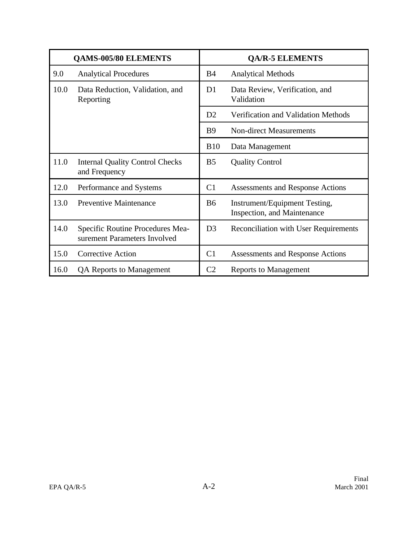|      | <b>QAMS-005/80 ELEMENTS</b>                                      | <b>QA/R-5 ELEMENTS</b> |                                                              |
|------|------------------------------------------------------------------|------------------------|--------------------------------------------------------------|
| 9.0  | <b>Analytical Procedures</b>                                     | B4                     | <b>Analytical Methods</b>                                    |
| 10.0 | Data Reduction, Validation, and<br>Reporting                     | D <sub>1</sub>         | Data Review, Verification, and<br>Validation                 |
|      |                                                                  | D2                     | Verification and Validation Methods                          |
|      |                                                                  | <b>B</b> 9             | <b>Non-direct Measurements</b>                               |
|      |                                                                  | <b>B10</b>             | Data Management                                              |
| 11.0 | <b>Internal Quality Control Checks</b><br>and Frequency          | B <sub>5</sub>         | <b>Quality Control</b>                                       |
| 12.0 | Performance and Systems                                          | C1                     | Assessments and Response Actions                             |
| 13.0 | <b>Preventive Maintenance</b>                                    | <b>B6</b>              | Instrument/Equipment Testing,<br>Inspection, and Maintenance |
| 14.0 | Specific Routine Procedures Mea-<br>surement Parameters Involved | D <sub>3</sub>         | <b>Reconciliation with User Requirements</b>                 |
| 15.0 | <b>Corrective Action</b>                                         | C <sub>1</sub>         | Assessments and Response Actions                             |
| 16.0 | <b>QA Reports to Management</b>                                  | C <sub>2</sub>         | <b>Reports to Management</b>                                 |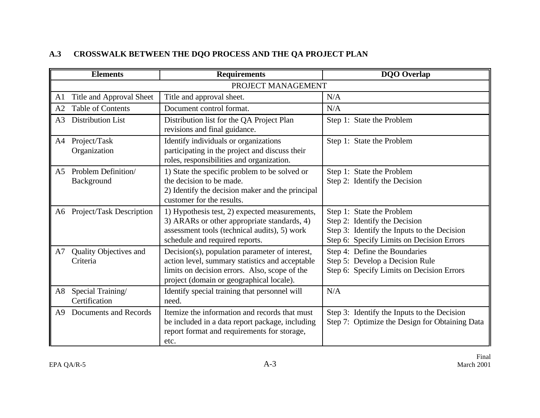# <span id="page-32-0"></span>**A.3 CROSSWALK BETWEEN THE DQO PROCESS AND THE QA PROJECT PLAN**

|                | <b>Elements</b>                           | <b>Requirements</b>                                                                                                                                                                            | <b>DQO</b> Overlap                                                                                                                                     |  |  |  |
|----------------|-------------------------------------------|------------------------------------------------------------------------------------------------------------------------------------------------------------------------------------------------|--------------------------------------------------------------------------------------------------------------------------------------------------------|--|--|--|
|                | PROJECT MANAGEMENT                        |                                                                                                                                                                                                |                                                                                                                                                        |  |  |  |
| A <sub>1</sub> | Title and Approval Sheet                  | Title and approval sheet.                                                                                                                                                                      | N/A                                                                                                                                                    |  |  |  |
| A2             | <b>Table of Contents</b>                  | Document control format.                                                                                                                                                                       | N/A                                                                                                                                                    |  |  |  |
| A <sub>3</sub> | <b>Distribution List</b>                  | Distribution list for the QA Project Plan<br>revisions and final guidance.                                                                                                                     | Step 1: State the Problem                                                                                                                              |  |  |  |
|                | A4 Project/Task<br>Organization           | Identify individuals or organizations<br>participating in the project and discuss their<br>roles, responsibilities and organization.                                                           | Step 1: State the Problem                                                                                                                              |  |  |  |
| A <sub>5</sub> | Problem Definition/<br>Background         | 1) State the specific problem to be solved or<br>the decision to be made.<br>2) Identify the decision maker and the principal<br>customer for the results.                                     | Step 1: State the Problem<br>Step 2: Identify the Decision                                                                                             |  |  |  |
|                | A6 Project/Task Description               | 1) Hypothesis test, 2) expected measurements,<br>3) ARARs or other appropriate standards, 4)<br>assessment tools (technical audits), 5) work<br>schedule and required reports.                 | Step 1: State the Problem<br>Step 2: Identify the Decision<br>Step 3: Identify the Inputs to the Decision<br>Step 6: Specify Limits on Decision Errors |  |  |  |
| A7             | <b>Quality Objectives and</b><br>Criteria | Decision(s), population parameter of interest,<br>action level, summary statistics and acceptable<br>limits on decision errors. Also, scope of the<br>project (domain or geographical locale). | Step 4: Define the Boundaries<br>Step 5: Develop a Decision Rule<br>Step 6: Specify Limits on Decision Errors                                          |  |  |  |
| A8             | Special Training/<br>Certification        | Identify special training that personnel will<br>need.                                                                                                                                         | N/A                                                                                                                                                    |  |  |  |
| A <sup>9</sup> | Documents and Records                     | Itemize the information and records that must<br>be included in a data report package, including<br>report format and requirements for storage,<br>etc.                                        | Step 3: Identify the Inputs to the Decision<br>Step 7: Optimize the Design for Obtaining Data                                                          |  |  |  |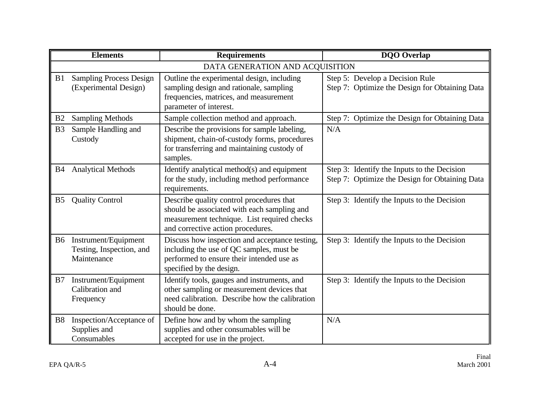| <b>Elements</b> |                                                                 | <b>Requirements</b>                                                                                                                                                         | <b>DQO</b> Overlap                                                                            |  |  |  |
|-----------------|-----------------------------------------------------------------|-----------------------------------------------------------------------------------------------------------------------------------------------------------------------------|-----------------------------------------------------------------------------------------------|--|--|--|
|                 | DATA GENERATION AND ACQUISITION                                 |                                                                                                                                                                             |                                                                                               |  |  |  |
| B1              | <b>Sampling Process Design</b><br>(Experimental Design)         | Outline the experimental design, including<br>sampling design and rationale, sampling<br>frequencies, matrices, and measurement<br>parameter of interest.                   | Step 5: Develop a Decision Rule<br>Step 7: Optimize the Design for Obtaining Data             |  |  |  |
| B2              | <b>Sampling Methods</b>                                         | Sample collection method and approach.                                                                                                                                      | Step 7: Optimize the Design for Obtaining Data                                                |  |  |  |
| B <sub>3</sub>  | Sample Handling and<br>Custody                                  | Describe the provisions for sample labeling,<br>shipment, chain-of-custody forms, procedures<br>for transferring and maintaining custody of<br>samples.                     | N/A                                                                                           |  |  |  |
| <b>B4</b>       | <b>Analytical Methods</b>                                       | Identify analytical method(s) and equipment<br>for the study, including method performance<br>requirements.                                                                 | Step 3: Identify the Inputs to the Decision<br>Step 7: Optimize the Design for Obtaining Data |  |  |  |
| B <sub>5</sub>  | <b>Quality Control</b>                                          | Describe quality control procedures that<br>should be associated with each sampling and<br>measurement technique. List required checks<br>and corrective action procedures. | Step 3: Identify the Inputs to the Decision                                                   |  |  |  |
| <b>B6</b>       | Instrument/Equipment<br>Testing, Inspection, and<br>Maintenance | Discuss how inspection and acceptance testing,<br>including the use of QC samples, must be<br>performed to ensure their intended use as<br>specified by the design.         | Step 3: Identify the Inputs to the Decision                                                   |  |  |  |
| B7              | Instrument/Equipment<br>Calibration and<br>Frequency            | Identify tools, gauges and instruments, and<br>other sampling or measurement devices that<br>need calibration. Describe how the calibration<br>should be done.              | Step 3: Identify the Inputs to the Decision                                                   |  |  |  |
| <b>B8</b>       | Inspection/Acceptance of<br>Supplies and<br>Consumables         | Define how and by whom the sampling<br>supplies and other consumables will be<br>accepted for use in the project.                                                           | N/A                                                                                           |  |  |  |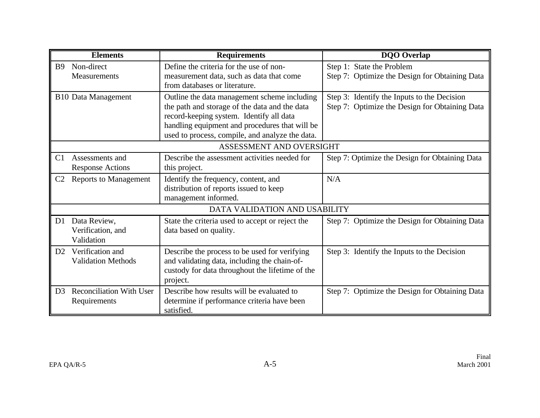|                | <b>Elements</b>                                 | <b>Requirements</b>                                                                                                                                                                                                                            | <b>DQO</b> Overlap                                                                            |  |  |
|----------------|-------------------------------------------------|------------------------------------------------------------------------------------------------------------------------------------------------------------------------------------------------------------------------------------------------|-----------------------------------------------------------------------------------------------|--|--|
| <b>B9</b>      | Non-direct<br><b>Measurements</b>               | Define the criteria for the use of non-<br>measurement data, such as data that come<br>from databases or literature.                                                                                                                           | Step 1: State the Problem<br>Step 7: Optimize the Design for Obtaining Data                   |  |  |
|                | <b>B10 Data Management</b>                      | Outline the data management scheme including<br>the path and storage of the data and the data<br>record-keeping system. Identify all data<br>handling equipment and procedures that will be<br>used to process, compile, and analyze the data. | Step 3: Identify the Inputs to the Decision<br>Step 7: Optimize the Design for Obtaining Data |  |  |
|                | ASSESSMENT AND OVERSIGHT                        |                                                                                                                                                                                                                                                |                                                                                               |  |  |
| C <sub>1</sub> | Assessments and<br><b>Response Actions</b>      | Describe the assessment activities needed for<br>this project.                                                                                                                                                                                 | Step 7: Optimize the Design for Obtaining Data                                                |  |  |
| C <sub>2</sub> | <b>Reports to Management</b>                    | Identify the frequency, content, and<br>distribution of reports issued to keep<br>management informed.                                                                                                                                         | N/A                                                                                           |  |  |
|                | DATA VALIDATION AND USABILITY                   |                                                                                                                                                                                                                                                |                                                                                               |  |  |
| D1             | Data Review,<br>Verification, and<br>Validation | State the criteria used to accept or reject the<br>data based on quality.                                                                                                                                                                      | Step 7: Optimize the Design for Obtaining Data                                                |  |  |
| D2             | Verification and<br><b>Validation Methods</b>   | Describe the process to be used for verifying<br>and validating data, including the chain-of-<br>custody for data throughout the lifetime of the<br>project.                                                                                   | Step 3: Identify the Inputs to the Decision                                                   |  |  |
| D <sub>3</sub> | <b>Reconciliation With User</b><br>Requirements | Describe how results will be evaluated to<br>determine if performance criteria have been<br>satisfied.                                                                                                                                         | Step 7: Optimize the Design for Obtaining Data                                                |  |  |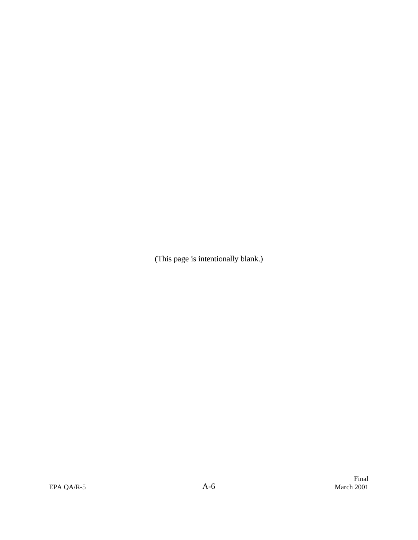(This page is intentionally blank.)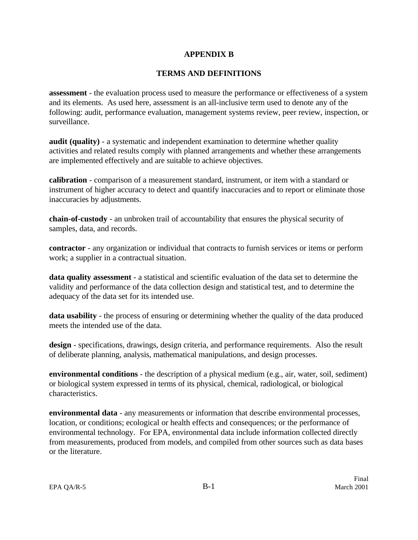# **APPENDIX B**

# **TERMS AND DEFINITIONS**

<span id="page-36-0"></span>**assessment** - the evaluation process used to measure the performance or effectiveness of a system and its elements. As used here, assessment is an all-inclusive term used to denote any of the following: audit, performance evaluation, management systems review, peer review, inspection, or surveillance.

**audit (quality)** - a systematic and independent examination to determine whether quality activities and related results comply with planned arrangements and whether these arrangements are implemented effectively and are suitable to achieve objectives.

**calibration** - comparison of a measurement standard, instrument, or item with a standard or instrument of higher accuracy to detect and quantify inaccuracies and to report or eliminate those inaccuracies by adjustments.

**chain-of-custody** - an unbroken trail of accountability that ensures the physical security of samples, data, and records.

**contractor** - any organization or individual that contracts to furnish services or items or perform work; a supplier in a contractual situation.

**data quality assessment** - a statistical and scientific evaluation of the data set to determine the validity and performance of the data collection design and statistical test, and to determine the adequacy of the data set for its intended use.

**data usability** - the process of ensuring or determining whether the quality of the data produced meets the intended use of the data.

**design** - specifications, drawings, design criteria, and performance requirements. Also the result of deliberate planning, analysis, mathematical manipulations, and design processes.

**environmental conditions** - the description of a physical medium (e.g., air, water, soil, sediment) or biological system expressed in terms of its physical, chemical, radiological, or biological characteristics.

**environmental data** - any measurements or information that describe environmental processes, location, or conditions; ecological or health effects and consequences; or the performance of environmental technology. For EPA, environmental data include information collected directly from measurements, produced from models, and compiled from other sources such as data bases or the literature.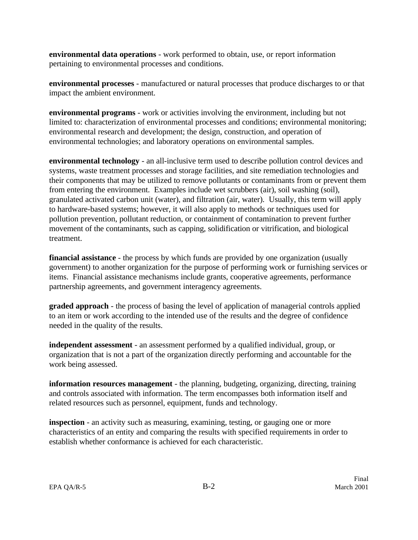**environmental data operations** - work performed to obtain, use, or report information pertaining to environmental processes and conditions.

**environmental processes** - manufactured or natural processes that produce discharges to or that impact the ambient environment.

**environmental programs** - work or activities involving the environment, including but not limited to: characterization of environmental processes and conditions; environmental monitoring; environmental research and development; the design, construction, and operation of environmental technologies; and laboratory operations on environmental samples.

**environmental technology** - an all-inclusive term used to describe pollution control devices and systems, waste treatment processes and storage facilities, and site remediation technologies and their components that may be utilized to remove pollutants or contaminants from or prevent them from entering the environment. Examples include wet scrubbers (air), soil washing (soil), granulated activated carbon unit (water), and filtration (air, water). Usually, this term will apply to hardware-based systems; however, it will also apply to methods or techniques used for pollution prevention, pollutant reduction, or containment of contamination to prevent further movement of the contaminants, such as capping, solidification or vitrification, and biological treatment.

**financial assistance** - the process by which funds are provided by one organization (usually government) to another organization for the purpose of performing work or furnishing services or items. Financial assistance mechanisms include grants, cooperative agreements, performance partnership agreements, and government interagency agreements.

**graded approach** - the process of basing the level of application of managerial controls applied to an item or work according to the intended use of the results and the degree of confidence needed in the quality of the results.

**independent assessment** - an assessment performed by a qualified individual, group, or organization that is not a part of the organization directly performing and accountable for the work being assessed.

**information resources management** - the planning, budgeting, organizing, directing, training and controls associated with information. The term encompasses both information itself and related resources such as personnel, equipment, funds and technology.

**inspection** - an activity such as measuring, examining, testing, or gauging one or more characteristics of an entity and comparing the results with specified requirements in order to establish whether conformance is achieved for each characteristic.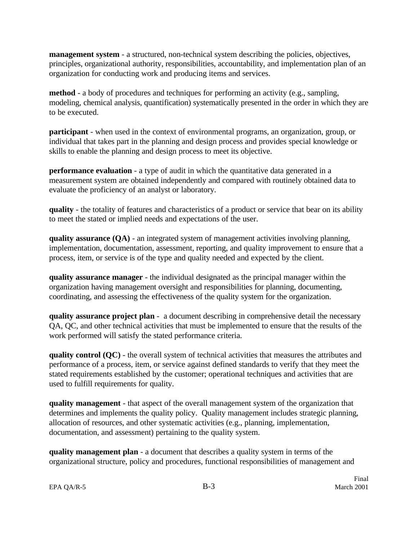**management system** - a structured, non-technical system describing the policies, objectives, principles, organizational authority, responsibilities, accountability, and implementation plan of an organization for conducting work and producing items and services.

**method** - a body of procedures and techniques for performing an activity (e.g., sampling, modeling, chemical analysis, quantification) systematically presented in the order in which they are to be executed.

**participant** - when used in the context of environmental programs, an organization, group, or individual that takes part in the planning and design process and provides special knowledge or skills to enable the planning and design process to meet its objective.

**performance evaluation** - a type of audit in which the quantitative data generated in a measurement system are obtained independently and compared with routinely obtained data to evaluate the proficiency of an analyst or laboratory.

**quality** - the totality of features and characteristics of a product or service that bear on its ability to meet the stated or implied needs and expectations of the user.

**quality assurance (QA)** - an integrated system of management activities involving planning, implementation, documentation, assessment, reporting, and quality improvement to ensure that a process, item, or service is of the type and quality needed and expected by the client.

**quality assurance manager** - the individual designated as the principal manager within the organization having management oversight and responsibilities for planning, documenting, coordinating, and assessing the effectiveness of the quality system for the organization.

**quality assurance project plan** - a document describing in comprehensive detail the necessary QA, QC, and other technical activities that must be implemented to ensure that the results of the work performed will satisfy the stated performance criteria.

**quality control (QC)** - the overall system of technical activities that measures the attributes and performance of a process, item, or service against defined standards to verify that they meet the stated requirements established by the customer; operational techniques and activities that are used to fulfill requirements for quality.

**quality management** - that aspect of the overall management system of the organization that determines and implements the quality policy. Quality management includes strategic planning, allocation of resources, and other systematic activities (e.g., planning, implementation, documentation, and assessment) pertaining to the quality system.

**quality management plan** - a document that describes a quality system in terms of the organizational structure, policy and procedures, functional responsibilities of management and